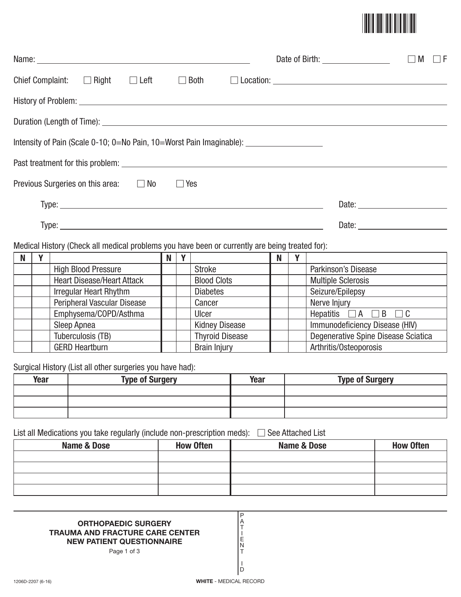

|                                                                                                      |  |  |            |  |  | M<br>- IF<br>$\mathbf{L}$ |
|------------------------------------------------------------------------------------------------------|--|--|------------|--|--|---------------------------|
| Chief Complaint: $\Box$ Right $\Box$ Left                                                            |  |  |            |  |  |                           |
|                                                                                                      |  |  |            |  |  |                           |
|                                                                                                      |  |  |            |  |  |                           |
| Intensity of Pain (Scale 0-10; 0=No Pain, 10=Worst Pain Imaginable): _______________________________ |  |  |            |  |  |                           |
|                                                                                                      |  |  |            |  |  |                           |
| Previous Surgeries on this area: $\Box$ No                                                           |  |  | $\Box$ Yes |  |  |                           |
|                                                                                                      |  |  |            |  |  |                           |
|                                                                                                      |  |  |            |  |  |                           |
| Medical History (Check all medical problems you have been or currently are being treated for):       |  |  |            |  |  |                           |

| N |                                   | N | $\mathbf{v}$ |                        | N |                                         |
|---|-----------------------------------|---|--------------|------------------------|---|-----------------------------------------|
|   | <b>High Blood Pressure</b>        |   |              | <b>Stroke</b>          |   | Parkinson's Disease                     |
|   | <b>Heart Disease/Heart Attack</b> |   |              | <b>Blood Clots</b>     |   | <b>Multiple Sclerosis</b>               |
|   | <b>Irregular Heart Rhythm</b>     |   |              | <b>Diabetes</b>        |   | Seizure/Epilepsy                        |
|   | Peripheral Vascular Disease       |   |              | Cancer                 |   | Nerve Injury                            |
|   | Emphysema/COPD/Asthma             |   |              | Ulcer                  |   | Hepatitis $\Box A \Box B$<br>$\sqcap$ C |
|   | Sleep Apnea                       |   |              | <b>Kidney Disease</b>  |   | Immunodeficiency Disease (HIV)          |
|   | Tuberculosis (TB)                 |   |              | <b>Thyroid Disease</b> |   | Degenerative Spine Disease Sciatica     |
|   | <b>GERD Heartburn</b>             |   |              | <b>Brain Injury</b>    |   | Arthritis/Osteoporosis                  |

Surgical History (List all other surgeries you have had):

| Year | <b>Type of Surgery</b> | Year | <b>Type of Surgery</b> |
|------|------------------------|------|------------------------|
|      |                        |      |                        |
|      |                        |      |                        |
|      |                        |      |                        |

List all Medications you take regularly (include non-prescription meds): - See Attached List

| <b>Name &amp; Dose</b> | <b>How Often</b> | Name & Dose | <b>How Often</b> |
|------------------------|------------------|-------------|------------------|
|                        |                  |             |                  |
|                        |                  |             |                  |
|                        |                  |             |                  |
|                        |                  |             |                  |

P A T I E N T I D

## **ORTHOPAEDIC SURGERY TRAUMA AND FRACTURE CARE CENTER NEW PATIENT QUESTIONNAIRE**

Page 1 of 3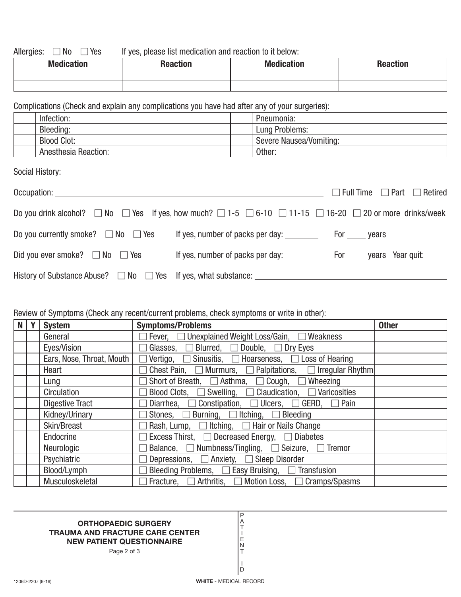Allergies:  $\Box$  No  $\Box$ If yes, please list medication and reaction to it below:

| <b>Medication</b> | <b>Donotion</b> | <b>Medication</b> | <b>Penotion</b><br>neacuon |
|-------------------|-----------------|-------------------|----------------------------|
|                   |                 |                   |                            |
|                   |                 |                   |                            |

Complications (Check and explain any complications you have had after any of your surgeries):

| Infection: |                             | Pneumonia:              |
|------------|-----------------------------|-------------------------|
| Bleeding:  |                             | Lung Problems:          |
|            | <b>Blood Clot:</b>          | Severe Nausea/Vomiting: |
|            | <b>Anesthesia Reaction:</b> | Other:                  |

Social History:

| Occupation: _____________                                                                                                                   |                                  | $\Box$ Full Time $\Box$ Part $\Box$ Retired |
|---------------------------------------------------------------------------------------------------------------------------------------------|----------------------------------|---------------------------------------------|
| Do you drink alcohol? $\Box$ No $\Box$ Yes If yes, how much? $\Box$ 1-5 $\Box$ 6-10 $\Box$ 11-15 $\Box$ 16-20 $\Box$ 20 or more drinks/week |                                  |                                             |
| Do you currently smoke? $\Box$ No $\Box$ Yes                                                                                                |                                  |                                             |
| Did you ever smoke? $\Box$ No $\Box$ Yes                                                                                                    | If yes, number of packs per day: | For ______ years Year quit: ______          |
|                                                                                                                                             |                                  |                                             |

## Review of Symptoms (Check any recent/current problems, check symptoms or write in other):

| <b>N</b> | <b>System</b>             | <b>Symptoms/Problems</b>                                                    | <b>Other</b> |
|----------|---------------------------|-----------------------------------------------------------------------------|--------------|
|          | General                   | Fever, □ Unexplained Weight Loss/Gain, □ Weakness                           |              |
|          | Eyes/Vision               | Glasses, $\Box$ Blurred, $\Box$ Double, $\Box$ Dry Eyes                     |              |
|          | Ears, Nose, Throat, Mouth | $\Box$ Vertigo, $\Box$ Sinusitis, $\Box$ Hoarseness, $\Box$ Loss of Hearing |              |
|          | Heart                     | Chest Pain, $\Box$ Murmurs, $\Box$ Palpitations, $\Box$ Irregular Rhythm    |              |
|          | Lung                      | Short of Breath, $\Box$ Asthma, $\Box$ Cough, $\Box$ Wheezing               |              |
|          | Circulation               | Blood Clots, $\Box$ Swelling, $\Box$ Claudication, $\Box$ Varicosities      |              |
|          | <b>Digestive Tract</b>    | Diarrhea, $\Box$ Constipation, $\Box$ Ulcers, $\Box$ GERD, $\Box$ Pain      |              |
|          | Kidney/Urinary            | Stones, $\Box$ Burning, $\Box$ Itching, $\Box$ Bleeding                     |              |
|          | Skin/Breast               | Rash, Lump, $\Box$ Itching, $\Box$ Hair or Nails Change                     |              |
|          | Endocrine                 | Excess Thirst, $\Box$ Decreased Energy, $\Box$ Diabetes                     |              |
|          | Neurologic                | Balance, $\Box$ Numbness/Tingling, $\Box$ Seizure, $\Box$ Tremor            |              |
|          | Psychiatric               | Depressions, $\Box$ Anxiety, $\Box$ Sleep Disorder                          |              |
|          | Blood/Lymph               | Bleeding Problems, $\Box$ Easy Bruising, $\Box$ Transfusion                 |              |
|          | Musculoskeletal           | Fracture, $\Box$ Arthritis, $\Box$ Motion Loss, $\Box$ Cramps/Spasms        |              |

## **ORTHOPAEDIC SURGERY TRAUMA AND FRACTURE CARE CENTER NEW PATIENT QUESTIONNAIRE**

Page 2 of 3

I D

P